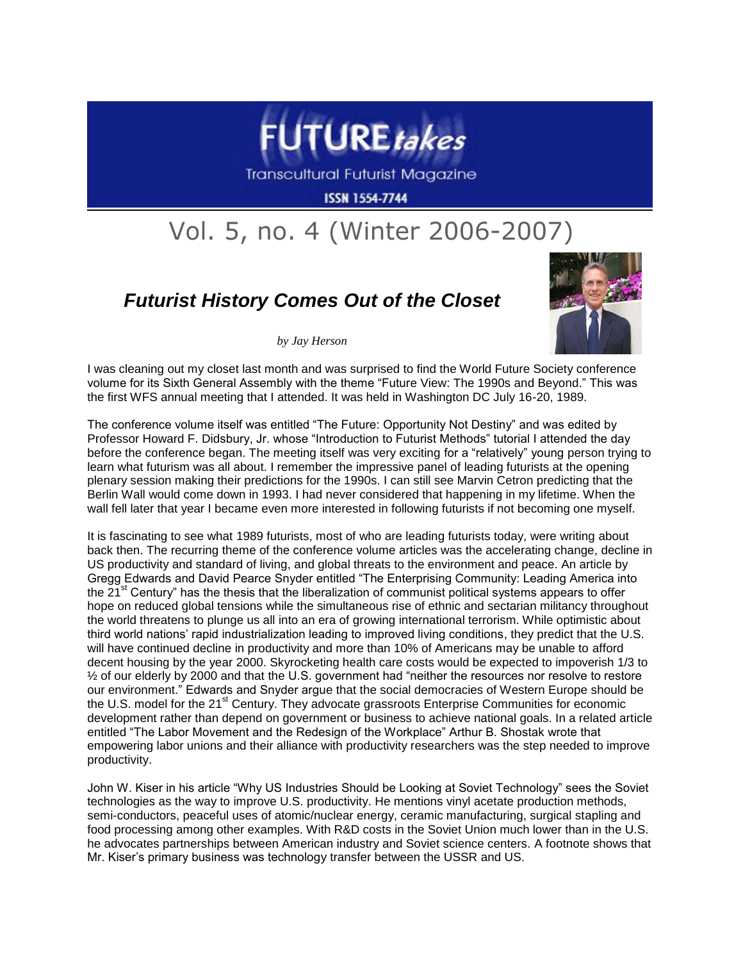

**Transcultural Futurist Magazine** 

**ISSN 1554-7744** 

## Vol. 5, no. 4 (Winter 2006-2007)

## *Futurist History Comes Out of the Closet*



*by Jay Herson*

I was cleaning out my closet last month and was surprised to find the World Future Society conference volume for its Sixth General Assembly with the theme "Future View: The 1990s and Beyond." This was the first WFS annual meeting that I attended. It was held in Washington DC July 16-20, 1989.

The conference volume itself was entitled "The Future: Opportunity Not Destiny" and was edited by Professor Howard F. Didsbury, Jr. whose "Introduction to Futurist Methods" tutorial I attended the day before the conference began. The meeting itself was very exciting for a "relatively" young person trying to learn what futurism was all about. I remember the impressive panel of leading futurists at the opening plenary session making their predictions for the 1990s. I can still see Marvin Cetron predicting that the Berlin Wall would come down in 1993. I had never considered that happening in my lifetime. When the wall fell later that year I became even more interested in following futurists if not becoming one myself.

It is fascinating to see what 1989 futurists, most of who are leading futurists today, were writing about back then. The recurring theme of the conference volume articles was the accelerating change, decline in US productivity and standard of living, and global threats to the environment and peace. An article by Gregg Edwards and David Pearce Snyder entitled "The Enterprising Community: Leading America into the 21<sup>st</sup> Century" has the thesis that the liberalization of communist political systems appears to offer hope on reduced global tensions while the simultaneous rise of ethnic and sectarian militancy throughout the world threatens to plunge us all into an era of growing international terrorism. While optimistic about third world nations' rapid industrialization leading to improved living conditions, they predict that the U.S. will have continued decline in productivity and more than 10% of Americans may be unable to afford decent housing by the year 2000. Skyrocketing health care costs would be expected to impoverish 1/3 to ½ of our elderly by 2000 and that the U.S. government had "neither the resources nor resolve to restore our environment." Edwards and Snyder argue that the social democracies of Western Europe should be the U.S. model for the 21<sup>st</sup> Century. They advocate grassroots Enterprise Communities for economic development rather than depend on government or business to achieve national goals. In a related article entitled "The Labor Movement and the Redesign of the Workplace" Arthur B. Shostak wrote that empowering labor unions and their alliance with productivity researchers was the step needed to improve productivity.

John W. Kiser in his article "Why US Industries Should be Looking at Soviet Technology" sees the Soviet technologies as the way to improve U.S. productivity. He mentions vinyl acetate production methods, semi-conductors, peaceful uses of atomic/nuclear energy, ceramic manufacturing, surgical stapling and food processing among other examples. With R&D costs in the Soviet Union much lower than in the U.S. he advocates partnerships between American industry and Soviet science centers. A footnote shows that Mr. Kiser's primary business was technology transfer between the USSR and US.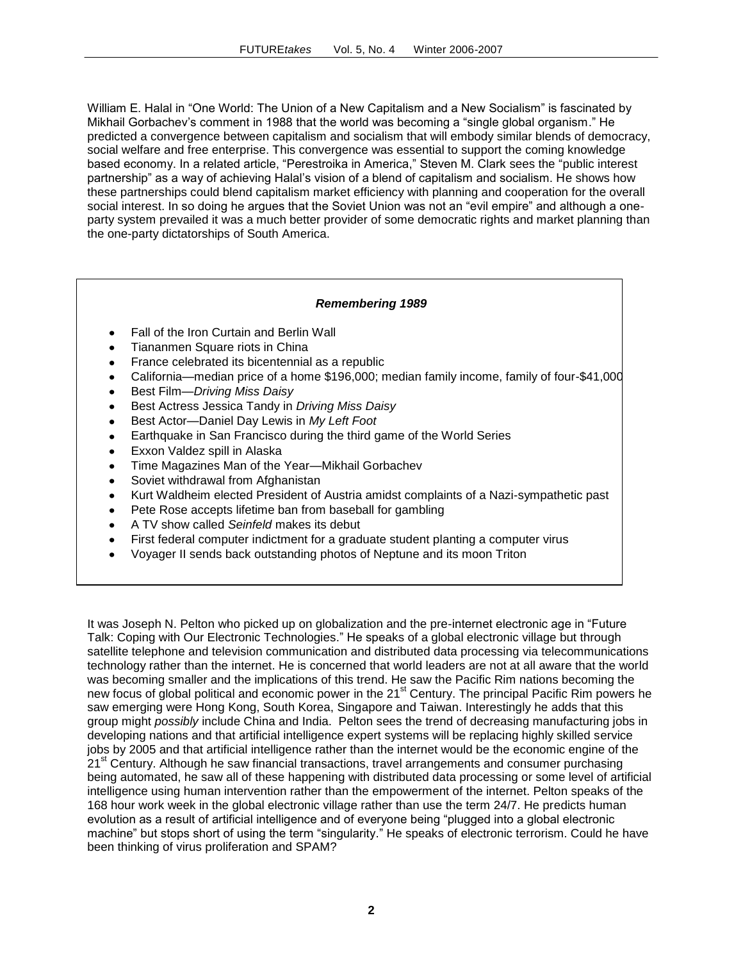William E. Halal in "One World: The Union of a New Capitalism and a New Socialism" is fascinated by Mikhail Gorbachev's comment in 1988 that the world was becoming a "single global organism." He predicted a convergence between capitalism and socialism that will embody similar blends of democracy, social welfare and free enterprise. This convergence was essential to support the coming knowledge based economy. In a related article, "Perestroika in America," Steven M. Clark sees the "public interest partnership" as a way of achieving Halal's vision of a blend of capitalism and socialism. He shows how these partnerships could blend capitalism market efficiency with planning and cooperation for the overall social interest. In so doing he argues that the Soviet Union was not an "evil empire" and although a oneparty system prevailed it was a much better provider of some democratic rights and market planning than the one-party dictatorships of South America.

## *Remembering 1989*

- Fall of the Iron Curtain and Berlin Wall
- Tiananmen Square riots in China
- France celebrated its bicentennial as a republic
- California—median price of a home \$196,000; median family income, family of four-\$41,000  $\bullet$
- $\bullet$ Best Film—*Driving Miss Daisy*
- Best Actress Jessica Tandy in *Driving Miss Daisy*
- Best Actor—Daniel Day Lewis in *My Left Foot*  $\bullet$
- Earthquake in San Francisco during the third game of the World Series  $\bullet$
- $\bullet$ Exxon Valdez spill in Alaska
- Time Magazines Man of the Year—Mikhail Gorbachev  $\bullet$
- Soviet withdrawal from Afghanistan
- Kurt Waldheim elected President of Austria amidst complaints of a Nazi-sympathetic past  $\bullet$
- Pete Rose accepts lifetime ban from baseball for gambling  $\bullet$
- A TV show called *Seinfeld* makes its debut  $\bullet$
- First federal computer indictment for a graduate student planting a computer virus  $\bullet$
- Voyager II sends back outstanding photos of Neptune and its moon Triton

It was Joseph N. Pelton who picked up on globalization and the pre-internet electronic age in "Future Talk: Coping with Our Electronic Technologies." He speaks of a global electronic village but through satellite telephone and television communication and distributed data processing via telecommunications technology rather than the internet. He is concerned that world leaders are not at all aware that the world was becoming smaller and the implications of this trend. He saw the Pacific Rim nations becoming the new focus of global political and economic power in the 21<sup>st</sup> Century. The principal Pacific Rim powers he saw emerging were Hong Kong, South Korea, Singapore and Taiwan. Interestingly he adds that this group might *possibly* include China and India. Pelton sees the trend of decreasing manufacturing jobs in developing nations and that artificial intelligence expert systems will be replacing highly skilled service jobs by 2005 and that artificial intelligence rather than the internet would be the economic engine of the 21<sup>st</sup> Century. Although he saw financial transactions, travel arrangements and consumer purchasing being automated, he saw all of these happening with distributed data processing or some level of artificial intelligence using human intervention rather than the empowerment of the internet. Pelton speaks of the 168 hour work week in the global electronic village rather than use the term 24/7. He predicts human evolution as a result of artificial intelligence and of everyone being "plugged into a global electronic machine" but stops short of using the term "singularity." He speaks of electronic terrorism. Could he have been thinking of virus proliferation and SPAM?